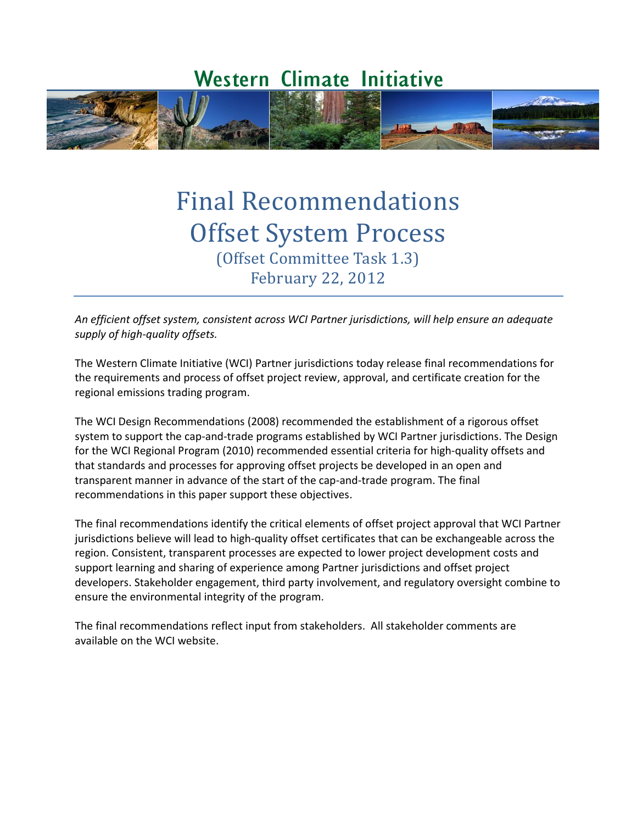# **Western Climate Initiative**



# Final Recommendations Offset System Process (Offset Committee Task 1.3) February 22, 2012

*An efficient offset system, consistent across WCI Partner jurisdictions, will help ensure an adequate supply of high-quality offsets.*

The Western Climate Initiative (WCI) Partner jurisdictions today release final recommendations for the requirements and process of offset project review, approval, and certificate creation for the regional emissions trading program.

The WCI Design Recommendations (2008) recommended the establishment of a rigorous offset system to support the cap-and-trade programs established by WCI Partner jurisdictions. The Design for the WCI Regional Program (2010) recommended essential criteria for high-quality offsets and that standards and processes for approving offset projects be developed in an open and transparent manner in advance of the start of the cap-and-trade program. The final recommendations in this paper support these objectives.

The final recommendations identify the critical elements of offset project approval that WCI Partner jurisdictions believe will lead to high-quality offset certificates that can be exchangeable across the region. Consistent, transparent processes are expected to lower project development costs and support learning and sharing of experience among Partner jurisdictions and offset project developers. Stakeholder engagement, third party involvement, and regulatory oversight combine to ensure the environmental integrity of the program.

The final recommendations reflect input from stakeholders. All stakeholder comments are available on the WCI website.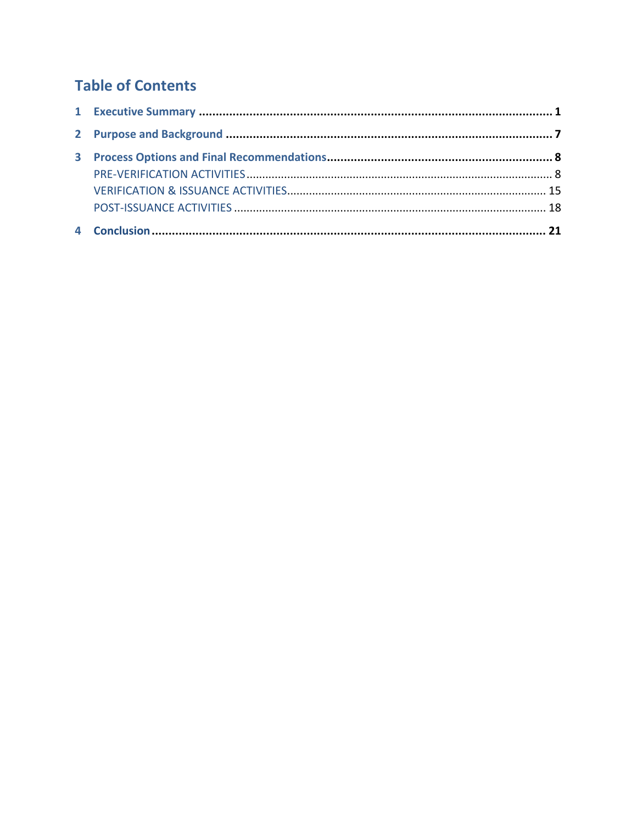## **Table of Contents**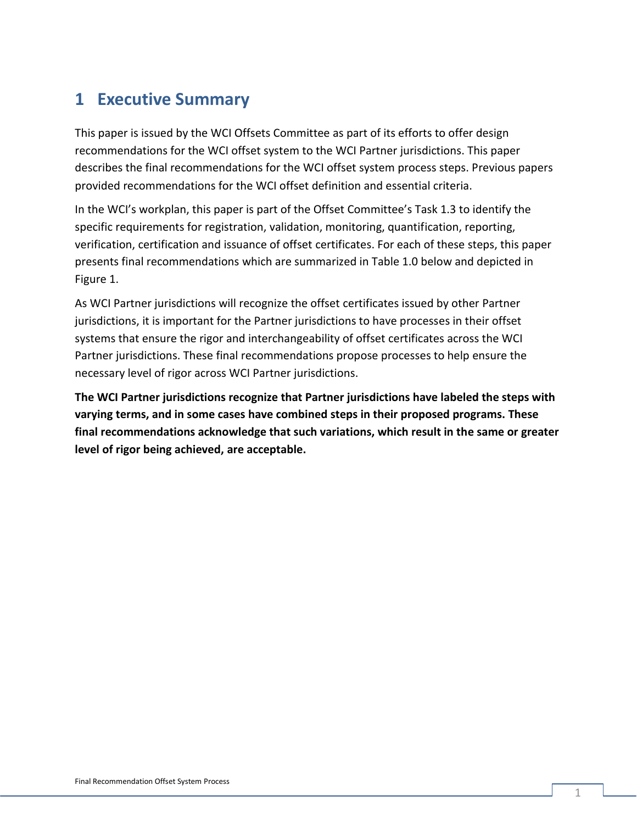## **1 Executive Summary**

This paper is issued by the WCI Offsets Committee as part of its efforts to offer design recommendations for the WCI offset system to the WCI Partner jurisdictions. This paper describes the final recommendations for the WCI offset system process steps. Previous papers provided recommendations for the WCI offset definition and essential criteria.

In the WCI's workplan, this paper is part of the Offset Committee's Task 1.3 to identify the specific requirements for registration, validation, monitoring, quantification, reporting, verification, certification and issuance of offset certificates. For each of these steps, this paper presents final recommendations which are summarized in Table 1.0 below and depicted in Figure 1.

As WCI Partner jurisdictions will recognize the offset certificates issued by other Partner jurisdictions, it is important for the Partner jurisdictions to have processes in their offset systems that ensure the rigor and interchangeability of offset certificates across the WCI Partner jurisdictions. These final recommendations propose processes to help ensure the necessary level of rigor across WCI Partner jurisdictions.

**The WCI Partner jurisdictions recognize that Partner jurisdictions have labeled the steps with varying terms, and in some cases have combined steps in their proposed programs. These final recommendations acknowledge that such variations, which result in the same or greater level of rigor being achieved, are acceptable.**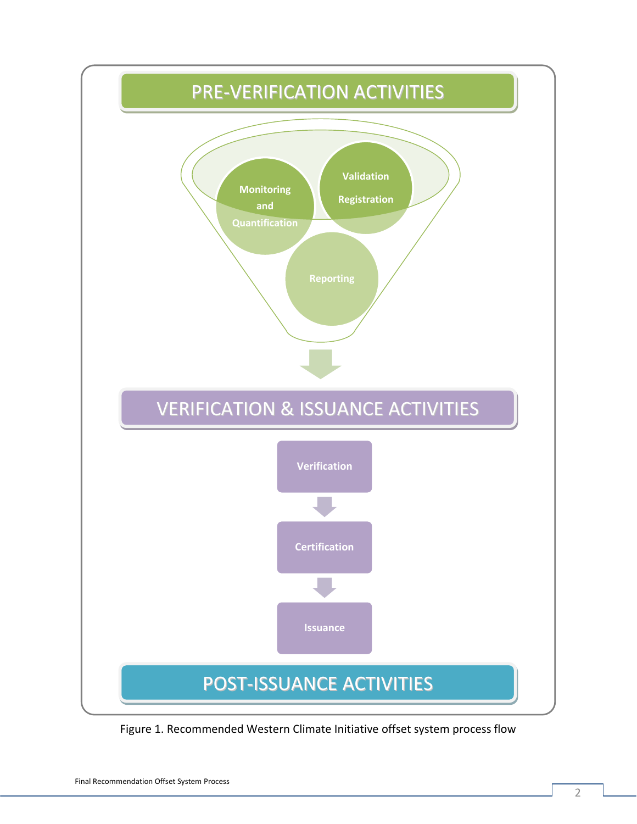

Figure 1. Recommended Western Climate Initiative offset system process flow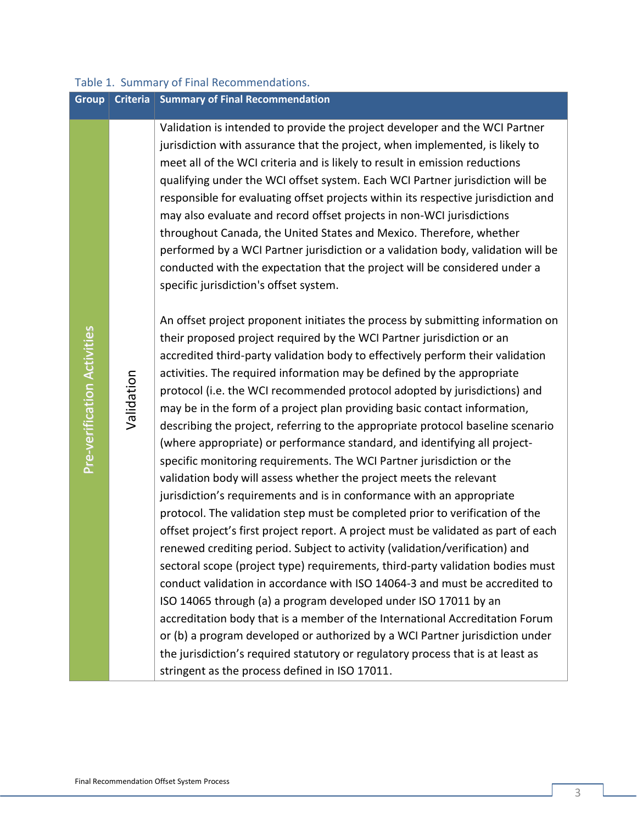| <b>Group</b>                | <b>Criteria</b> | <b>Summary of Final Recommendation</b>                                                                                                                                                                                                                                                                                                                                                                                                                                                                                                                                                                                                                                                                                                                                                                                                                                                                                                                                                                                                                                                                                                                                                                                                                                                                                                                                                                                                                                                                                                                                                                                                                              |
|-----------------------------|-----------------|---------------------------------------------------------------------------------------------------------------------------------------------------------------------------------------------------------------------------------------------------------------------------------------------------------------------------------------------------------------------------------------------------------------------------------------------------------------------------------------------------------------------------------------------------------------------------------------------------------------------------------------------------------------------------------------------------------------------------------------------------------------------------------------------------------------------------------------------------------------------------------------------------------------------------------------------------------------------------------------------------------------------------------------------------------------------------------------------------------------------------------------------------------------------------------------------------------------------------------------------------------------------------------------------------------------------------------------------------------------------------------------------------------------------------------------------------------------------------------------------------------------------------------------------------------------------------------------------------------------------------------------------------------------------|
|                             |                 | Validation is intended to provide the project developer and the WCI Partner<br>jurisdiction with assurance that the project, when implemented, is likely to<br>meet all of the WCI criteria and is likely to result in emission reductions<br>qualifying under the WCI offset system. Each WCI Partner jurisdiction will be<br>responsible for evaluating offset projects within its respective jurisdiction and<br>may also evaluate and record offset projects in non-WCI jurisdictions<br>throughout Canada, the United States and Mexico. Therefore, whether<br>performed by a WCI Partner jurisdiction or a validation body, validation will be<br>conducted with the expectation that the project will be considered under a<br>specific jurisdiction's offset system.                                                                                                                                                                                                                                                                                                                                                                                                                                                                                                                                                                                                                                                                                                                                                                                                                                                                                        |
| Pre-verification Activities | Validation      | An offset project proponent initiates the process by submitting information on<br>their proposed project required by the WCI Partner jurisdiction or an<br>accredited third-party validation body to effectively perform their validation<br>activities. The required information may be defined by the appropriate<br>protocol (i.e. the WCI recommended protocol adopted by jurisdictions) and<br>may be in the form of a project plan providing basic contact information,<br>describing the project, referring to the appropriate protocol baseline scenario<br>(where appropriate) or performance standard, and identifying all project-<br>specific monitoring requirements. The WCI Partner jurisdiction or the<br>validation body will assess whether the project meets the relevant<br>jurisdiction's requirements and is in conformance with an appropriate<br>protocol. The validation step must be completed prior to verification of the<br>offset project's first project report. A project must be validated as part of each<br>renewed crediting period. Subject to activity (validation/verification) and<br>sectoral scope (project type) requirements, third-party validation bodies must<br>conduct validation in accordance with ISO 14064-3 and must be accredited to<br>ISO 14065 through (a) a program developed under ISO 17011 by an<br>accreditation body that is a member of the International Accreditation Forum<br>or (b) a program developed or authorized by a WCI Partner jurisdiction under<br>the jurisdiction's required statutory or regulatory process that is at least as<br>stringent as the process defined in ISO 17011. |

## Table 1. Summary of Final Recommendations.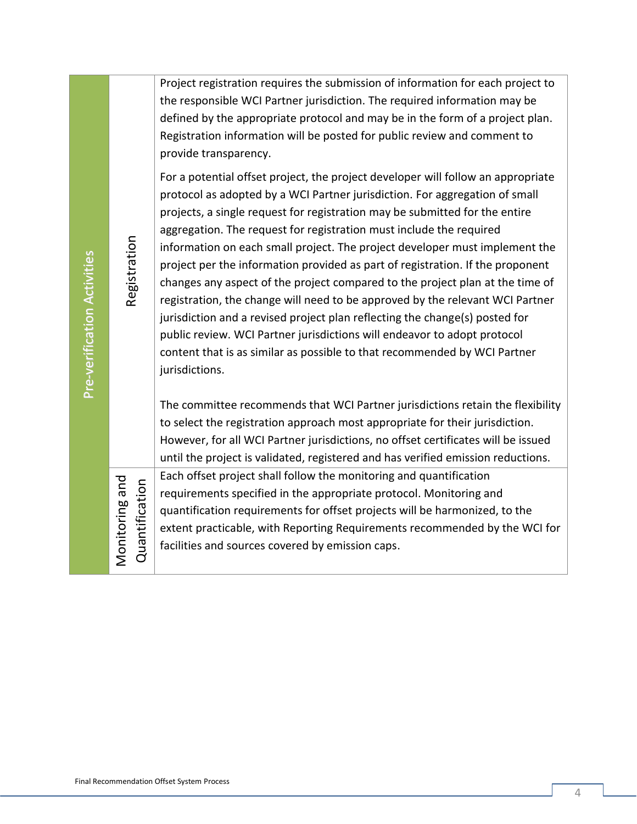| Project registration requires the submission of information for each project to |
|---------------------------------------------------------------------------------|
| the responsible WCI Partner jurisdiction. The required information may be       |
| defined by the appropriate protocol and may be in the form of a project plan.   |
| Registration information will be posted for public review and comment to        |
| provide transparency.                                                           |

For a potential offset project, the project developer will follow an appropriate protocol as adopted by a WCI Partner jurisdiction. For aggregation of small projects, a single request for registration may be submitted for the entire aggregation. The request for registration must include the required information on each small project. The project developer must implement the project per the information provided as part of registration. If the proponent changes any aspect of the project compared to the project plan at the time of registration, the change will need to be approved by the relevant WCI Partner jurisdiction and a revised project plan reflecting the change(s) posted for public review. WCI Partner jurisdictions will endeavor to adopt protocol content that is as similar as possible to that recommended by WCI Partner jurisdictions.

The committee recommends that WCI Partner jurisdictions retain the flexibility to select the registration approach most appropriate for their jurisdiction. However, for all WCI Partner jurisdictions, no offset certificates will be issued until the project is validated, registered and has verified emission reductions.

Each offset project shall follow the monitoring and quantification requirements specified in the appropriate protocol. Monitoring and quantification requirements for offset projects will be harmonized, to the extent practicable, with Reporting Requirements recommended by the WCI for facilities and sources covered by emission caps.

Pre-v

Monitoring and Quantification

Monitoring and

erific

atio n

A

ctivities

Registration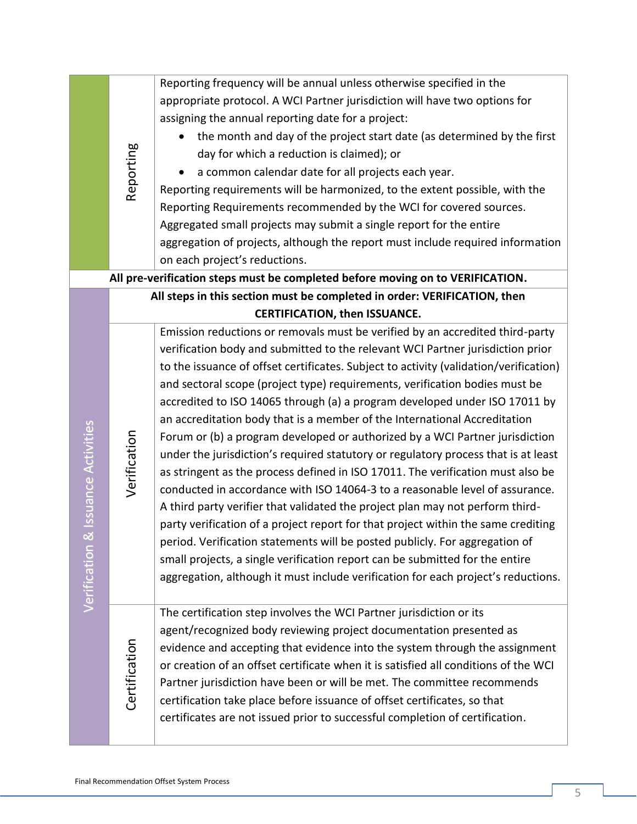|                       |                                      | Reporting frequency will be annual unless otherwise specified in the                  |  |
|-----------------------|--------------------------------------|---------------------------------------------------------------------------------------|--|
|                       |                                      | appropriate protocol. A WCI Partner jurisdiction will have two options for            |  |
|                       |                                      | assigning the annual reporting date for a project:                                    |  |
|                       |                                      | the month and day of the project start date (as determined by the first               |  |
|                       |                                      | day for which a reduction is claimed); or                                             |  |
|                       | Reporting                            | a common calendar date for all projects each year.                                    |  |
|                       |                                      | Reporting requirements will be harmonized, to the extent possible, with the           |  |
|                       |                                      | Reporting Requirements recommended by the WCI for covered sources.                    |  |
|                       |                                      | Aggregated small projects may submit a single report for the entire                   |  |
|                       |                                      | aggregation of projects, although the report must include required information        |  |
|                       |                                      | on each project's reductions.                                                         |  |
|                       |                                      | All pre-verification steps must be completed before moving on to VERIFICATION.        |  |
|                       |                                      | All steps in this section must be completed in order: VERIFICATION, then              |  |
|                       | <b>CERTIFICATION, then ISSUANCE.</b> |                                                                                       |  |
|                       |                                      | Emission reductions or removals must be verified by an accredited third-party         |  |
|                       |                                      | verification body and submitted to the relevant WCI Partner jurisdiction prior        |  |
|                       |                                      | to the issuance of offset certificates. Subject to activity (validation/verification) |  |
|                       |                                      | and sectoral scope (project type) requirements, verification bodies must be           |  |
|                       |                                      | accredited to ISO 14065 through (a) a program developed under ISO 17011 by            |  |
|                       |                                      | an accreditation body that is a member of the International Accreditation             |  |
|                       |                                      | Forum or (b) a program developed or authorized by a WCI Partner jurisdiction          |  |
|                       | Verification                         | under the jurisdiction's required statutory or regulatory process that is at least    |  |
|                       |                                      | as stringent as the process defined in ISO 17011. The verification must also be       |  |
|                       |                                      | conducted in accordance with ISO 14064-3 to a reasonable level of assurance.          |  |
| & Issuance Activities |                                      | A third party verifier that validated the project plan may not perform third-         |  |
|                       |                                      | party verification of a project report for that project within the same crediting     |  |
|                       |                                      | period. Verification statements will be posted publicly. For aggregation of           |  |
|                       |                                      | small projects, a single verification report can be submitted for the entire          |  |
| Verification          |                                      | aggregation, although it must include verification for each project's reductions.     |  |
|                       |                                      |                                                                                       |  |
|                       |                                      | The certification step involves the WCI Partner jurisdiction or its                   |  |
|                       |                                      | agent/recognized body reviewing project documentation presented as                    |  |
|                       | Certification                        | evidence and accepting that evidence into the system through the assignment           |  |
|                       |                                      | or creation of an offset certificate when it is satisfied all conditions of the WCI   |  |
|                       |                                      | Partner jurisdiction have been or will be met. The committee recommends               |  |
|                       |                                      | certification take place before issuance of offset certificates, so that              |  |
|                       |                                      | certificates are not issued prior to successful completion of certification.          |  |
|                       |                                      |                                                                                       |  |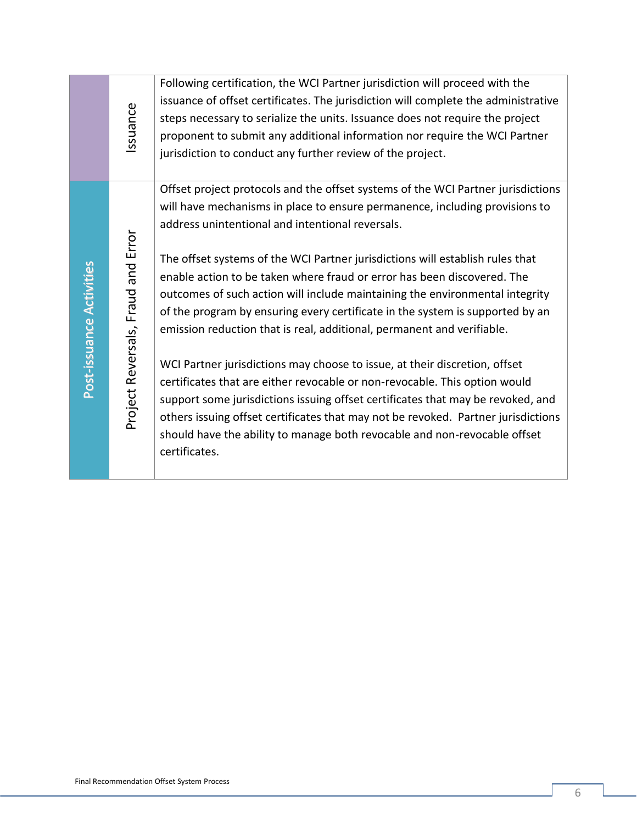|                          | Issuance                           | Following certification, the WCI Partner jurisdiction will proceed with the<br>issuance of offset certificates. The jurisdiction will complete the administrative<br>steps necessary to serialize the units. Issuance does not require the project<br>proponent to submit any additional information nor require the WCI Partner<br>jurisdiction to conduct any further review of the project.                                                                                                                                                                                                                                                                                                                                                                                                                                                                                                                                                                                                                                                               |
|--------------------------|------------------------------------|--------------------------------------------------------------------------------------------------------------------------------------------------------------------------------------------------------------------------------------------------------------------------------------------------------------------------------------------------------------------------------------------------------------------------------------------------------------------------------------------------------------------------------------------------------------------------------------------------------------------------------------------------------------------------------------------------------------------------------------------------------------------------------------------------------------------------------------------------------------------------------------------------------------------------------------------------------------------------------------------------------------------------------------------------------------|
| Post-issuance Activities | Project Reversals, Fraud and Error | Offset project protocols and the offset systems of the WCI Partner jurisdictions<br>will have mechanisms in place to ensure permanence, including provisions to<br>address unintentional and intentional reversals.<br>The offset systems of the WCI Partner jurisdictions will establish rules that<br>enable action to be taken where fraud or error has been discovered. The<br>outcomes of such action will include maintaining the environmental integrity<br>of the program by ensuring every certificate in the system is supported by an<br>emission reduction that is real, additional, permanent and verifiable.<br>WCI Partner jurisdictions may choose to issue, at their discretion, offset<br>certificates that are either revocable or non-revocable. This option would<br>support some jurisdictions issuing offset certificates that may be revoked, and<br>others issuing offset certificates that may not be revoked. Partner jurisdictions<br>should have the ability to manage both revocable and non-revocable offset<br>certificates. |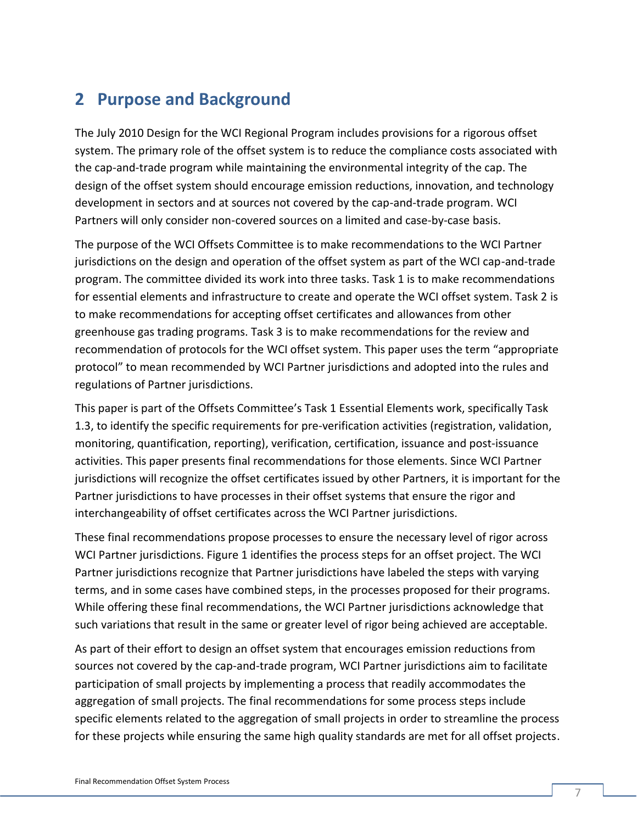## **2 Purpose and Background**

The July 2010 Design for the WCI Regional Program includes provisions for a rigorous offset system. The primary role of the offset system is to reduce the compliance costs associated with the cap-and-trade program while maintaining the environmental integrity of the cap. The design of the offset system should encourage emission reductions, innovation, and technology development in sectors and at sources not covered by the cap-and-trade program. WCI Partners will only consider non-covered sources on a limited and case-by-case basis.

The purpose of the WCI Offsets Committee is to make recommendations to the WCI Partner jurisdictions on the design and operation of the offset system as part of the WCI cap-and-trade program. The committee divided its work into three tasks. Task 1 is to make recommendations for essential elements and infrastructure to create and operate the WCI offset system. Task 2 is to make recommendations for accepting offset certificates and allowances from other greenhouse gas trading programs. Task 3 is to make recommendations for the review and recommendation of protocols for the WCI offset system. This paper uses the term "appropriate protocol" to mean recommended by WCI Partner jurisdictions and adopted into the rules and regulations of Partner jurisdictions.

This paper is part of the Offsets Committee's Task 1 Essential Elements work, specifically Task 1.3, to identify the specific requirements for pre-verification activities (registration, validation, monitoring, quantification, reporting), verification, certification, issuance and post-issuance activities. This paper presents final recommendations for those elements. Since WCI Partner jurisdictions will recognize the offset certificates issued by other Partners, it is important for the Partner jurisdictions to have processes in their offset systems that ensure the rigor and interchangeability of offset certificates across the WCI Partner jurisdictions.

These final recommendations propose processes to ensure the necessary level of rigor across WCI Partner jurisdictions. Figure 1 identifies the process steps for an offset project. The WCI Partner jurisdictions recognize that Partner jurisdictions have labeled the steps with varying terms, and in some cases have combined steps, in the processes proposed for their programs. While offering these final recommendations, the WCI Partner jurisdictions acknowledge that such variations that result in the same or greater level of rigor being achieved are acceptable.

As part of their effort to design an offset system that encourages emission reductions from sources not covered by the cap-and-trade program, WCI Partner jurisdictions aim to facilitate participation of small projects by implementing a process that readily accommodates the aggregation of small projects. The final recommendations for some process steps include specific elements related to the aggregation of small projects in order to streamline the process for these projects while ensuring the same high quality standards are met for all offset projects.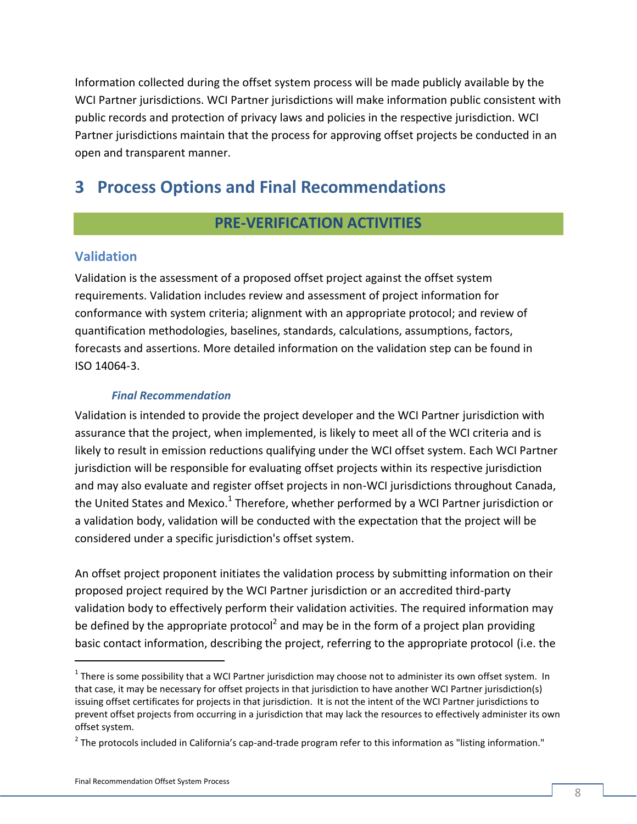Information collected during the offset system process will be made publicly available by the WCI Partner jurisdictions. WCI Partner jurisdictions will make information public consistent with public records and protection of privacy laws and policies in the respective jurisdiction. WCI Partner jurisdictions maintain that the process for approving offset projects be conducted in an open and transparent manner.

## **3 Process Options and Final Recommendations**

### **PRE-VERIFICATION ACTIVITIES**

#### **Validation**

Validation is the assessment of a proposed offset project against the offset system requirements. Validation includes review and assessment of project information for conformance with system criteria; alignment with an appropriate protocol; and review of quantification methodologies, baselines, standards, calculations, assumptions, factors, forecasts and assertions. More detailed information on the validation step can be found in ISO 14064-3.

#### *Final Recommendation*

Validation is intended to provide the project developer and the WCI Partner jurisdiction with assurance that the project, when implemented, is likely to meet all of the WCI criteria and is likely to result in emission reductions qualifying under the WCI offset system. Each WCI Partner jurisdiction will be responsible for evaluating offset projects within its respective jurisdiction and may also evaluate and register offset projects in non-WCI jurisdictions throughout Canada, the United States and Mexico.<sup>1</sup> Therefore, whether performed by a WCI Partner jurisdiction or a validation body, validation will be conducted with the expectation that the project will be considered under a specific jurisdiction's offset system.

An offset project proponent initiates the validation process by submitting information on their proposed project required by the WCI Partner jurisdiction or an accredited third-party validation body to effectively perform their validation activities. The required information may be defined by the appropriate protocol<sup>2</sup> and may be in the form of a project plan providing basic contact information, describing the project, referring to the appropriate protocol (i.e. the

 $\overline{a}$ 

 $^1$  There is some possibility that a WCI Partner jurisdiction may choose not to administer its own offset system. In that case, it may be necessary for offset projects in that jurisdiction to have another WCI Partner jurisdiction(s) issuing offset certificates for projects in that jurisdiction. It is not the intent of the WCI Partner jurisdictions to prevent offset projects from occurring in a jurisdiction that may lack the resources to effectively administer its own offset system.

 $^2$  The protocols included in California's cap-and-trade program refer to this information as "listing information."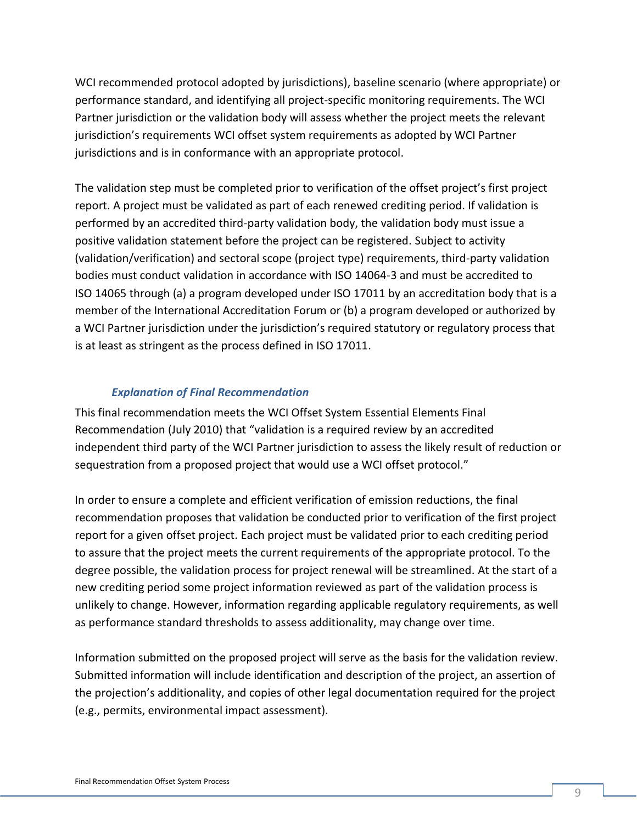WCI recommended protocol adopted by jurisdictions), baseline scenario (where appropriate) or performance standard, and identifying all project-specific monitoring requirements. The WCI Partner jurisdiction or the validation body will assess whether the project meets the relevant jurisdiction's requirements WCI offset system requirements as adopted by WCI Partner jurisdictions and is in conformance with an appropriate protocol.

The validation step must be completed prior to verification of the offset project's first project report. A project must be validated as part of each renewed crediting period. If validation is performed by an accredited third-party validation body, the validation body must issue a positive validation statement before the project can be registered. Subject to activity (validation/verification) and sectoral scope (project type) requirements, third-party validation bodies must conduct validation in accordance with ISO 14064-3 and must be accredited to ISO 14065 through (a) a program developed under ISO 17011 by an accreditation body that is a member of the International Accreditation Forum or (b) a program developed or authorized by a WCI Partner jurisdiction under the jurisdiction's required statutory or regulatory process that is at least as stringent as the process defined in ISO 17011.

#### *Explanation of Final Recommendation*

This final recommendation meets the WCI Offset System Essential Elements Final Recommendation (July 2010) that "validation is a required review by an accredited independent third party of the WCI Partner jurisdiction to assess the likely result of reduction or sequestration from a proposed project that would use a WCI offset protocol."

In order to ensure a complete and efficient verification of emission reductions, the final recommendation proposes that validation be conducted prior to verification of the first project report for a given offset project. Each project must be validated prior to each crediting period to assure that the project meets the current requirements of the appropriate protocol. To the degree possible, the validation process for project renewal will be streamlined. At the start of a new crediting period some project information reviewed as part of the validation process is unlikely to change. However, information regarding applicable regulatory requirements, as well as performance standard thresholds to assess additionality, may change over time.

Information submitted on the proposed project will serve as the basis for the validation review. Submitted information will include identification and description of the project, an assertion of the projection's additionality, and copies of other legal documentation required for the project (e.g., permits, environmental impact assessment).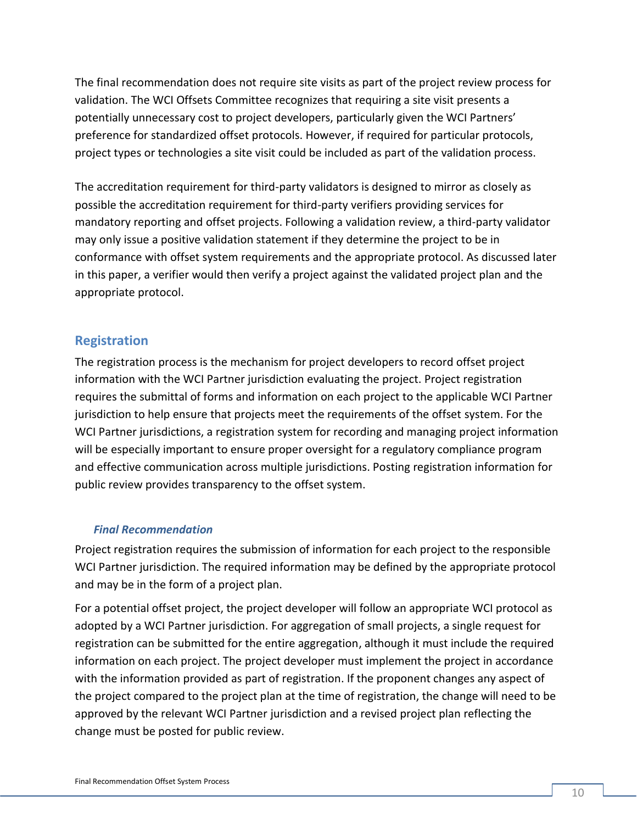The final recommendation does not require site visits as part of the project review process for validation. The WCI Offsets Committee recognizes that requiring a site visit presents a potentially unnecessary cost to project developers, particularly given the WCI Partners' preference for standardized offset protocols. However, if required for particular protocols, project types or technologies a site visit could be included as part of the validation process.

The accreditation requirement for third-party validators is designed to mirror as closely as possible the accreditation requirement for third-party verifiers providing services for mandatory reporting and offset projects. Following a validation review, a third-party validator may only issue a positive validation statement if they determine the project to be in conformance with offset system requirements and the appropriate protocol. As discussed later in this paper, a verifier would then verify a project against the validated project plan and the appropriate protocol.

#### **Registration**

The registration process is the mechanism for project developers to record offset project information with the WCI Partner jurisdiction evaluating the project. Project registration requires the submittal of forms and information on each project to the applicable WCI Partner jurisdiction to help ensure that projects meet the requirements of the offset system. For the WCI Partner jurisdictions, a registration system for recording and managing project information will be especially important to ensure proper oversight for a regulatory compliance program and effective communication across multiple jurisdictions. Posting registration information for public review provides transparency to the offset system.

#### *Final Recommendation*

Project registration requires the submission of information for each project to the responsible WCI Partner jurisdiction. The required information may be defined by the appropriate protocol and may be in the form of a project plan.

For a potential offset project, the project developer will follow an appropriate WCI protocol as adopted by a WCI Partner jurisdiction. For aggregation of small projects, a single request for registration can be submitted for the entire aggregation, although it must include the required information on each project. The project developer must implement the project in accordance with the information provided as part of registration. If the proponent changes any aspect of the project compared to the project plan at the time of registration, the change will need to be approved by the relevant WCI Partner jurisdiction and a revised project plan reflecting the change must be posted for public review.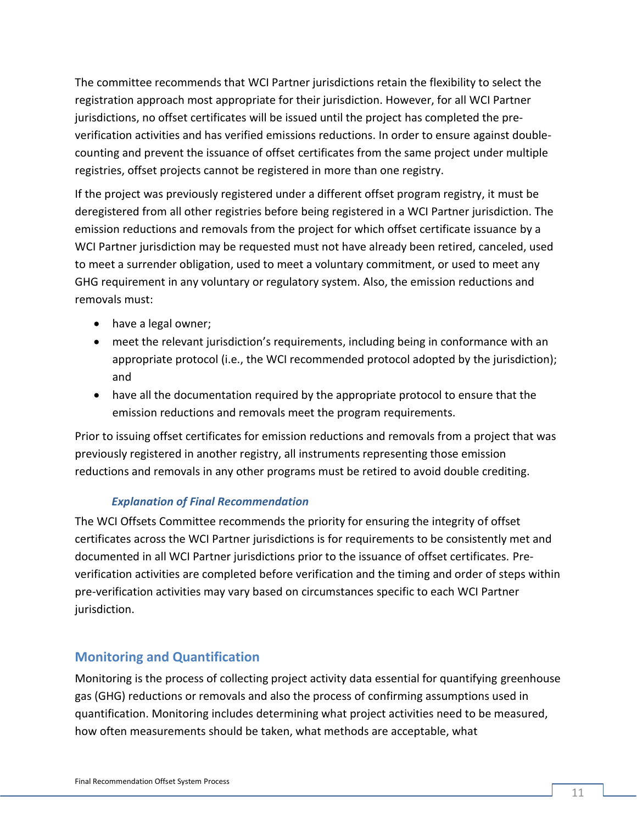The committee recommends that WCI Partner jurisdictions retain the flexibility to select the registration approach most appropriate for their jurisdiction. However, for all WCI Partner jurisdictions, no offset certificates will be issued until the project has completed the preverification activities and has verified emissions reductions. In order to ensure against doublecounting and prevent the issuance of offset certificates from the same project under multiple registries, offset projects cannot be registered in more than one registry.

If the project was previously registered under a different offset program registry, it must be deregistered from all other registries before being registered in a WCI Partner jurisdiction. The emission reductions and removals from the project for which offset certificate issuance by a WCI Partner jurisdiction may be requested must not have already been retired, canceled, used to meet a surrender obligation, used to meet a voluntary commitment, or used to meet any GHG requirement in any voluntary or regulatory system. Also, the emission reductions and removals must:

- have a legal owner;
- meet the relevant jurisdiction's requirements, including being in conformance with an appropriate protocol (i.e., the WCI recommended protocol adopted by the jurisdiction); and
- have all the documentation required by the appropriate protocol to ensure that the emission reductions and removals meet the program requirements.

Prior to issuing offset certificates for emission reductions and removals from a project that was previously registered in another registry, all instruments representing those emission reductions and removals in any other programs must be retired to avoid double crediting.

#### *Explanation of Final Recommendation*

The WCI Offsets Committee recommends the priority for ensuring the integrity of offset certificates across the WCI Partner jurisdictions is for requirements to be consistently met and documented in all WCI Partner jurisdictions prior to the issuance of offset certificates. Preverification activities are completed before verification and the timing and order of steps within pre-verification activities may vary based on circumstances specific to each WCI Partner jurisdiction.

### **Monitoring and Quantification**

Monitoring is the process of collecting project activity data essential for quantifying greenhouse gas (GHG) reductions or removals and also the process of confirming assumptions used in quantification. Monitoring includes determining what project activities need to be measured, how often measurements should be taken, what methods are acceptable, what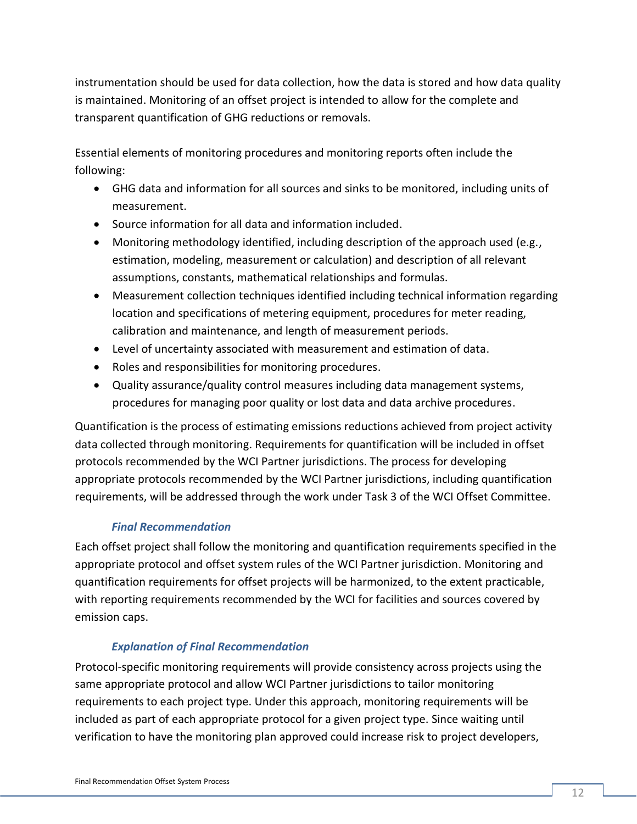instrumentation should be used for data collection, how the data is stored and how data quality is maintained. Monitoring of an offset project is intended to allow for the complete and transparent quantification of GHG reductions or removals.

Essential elements of monitoring procedures and monitoring reports often include the following:

- GHG data and information for all sources and sinks to be monitored, including units of measurement.
- Source information for all data and information included.
- Monitoring methodology identified, including description of the approach used (e.g., estimation, modeling, measurement or calculation) and description of all relevant assumptions, constants, mathematical relationships and formulas.
- Measurement collection techniques identified including technical information regarding location and specifications of metering equipment, procedures for meter reading, calibration and maintenance, and length of measurement periods.
- Level of uncertainty associated with measurement and estimation of data.
- Roles and responsibilities for monitoring procedures.
- Quality assurance/quality control measures including data management systems, procedures for managing poor quality or lost data and data archive procedures.

Quantification is the process of estimating emissions reductions achieved from project activity data collected through monitoring. Requirements for quantification will be included in offset protocols recommended by the WCI Partner jurisdictions. The process for developing appropriate protocols recommended by the WCI Partner jurisdictions, including quantification requirements, will be addressed through the work under Task 3 of the WCI Offset Committee.

#### *Final Recommendation*

Each offset project shall follow the monitoring and quantification requirements specified in the appropriate protocol and offset system rules of the WCI Partner jurisdiction. Monitoring and quantification requirements for offset projects will be harmonized, to the extent practicable, with reporting requirements recommended by the WCI for facilities and sources covered by emission caps.

#### *Explanation of Final Recommendation*

Protocol-specific monitoring requirements will provide consistency across projects using the same appropriate protocol and allow WCI Partner jurisdictions to tailor monitoring requirements to each project type. Under this approach, monitoring requirements will be included as part of each appropriate protocol for a given project type. Since waiting until verification to have the monitoring plan approved could increase risk to project developers,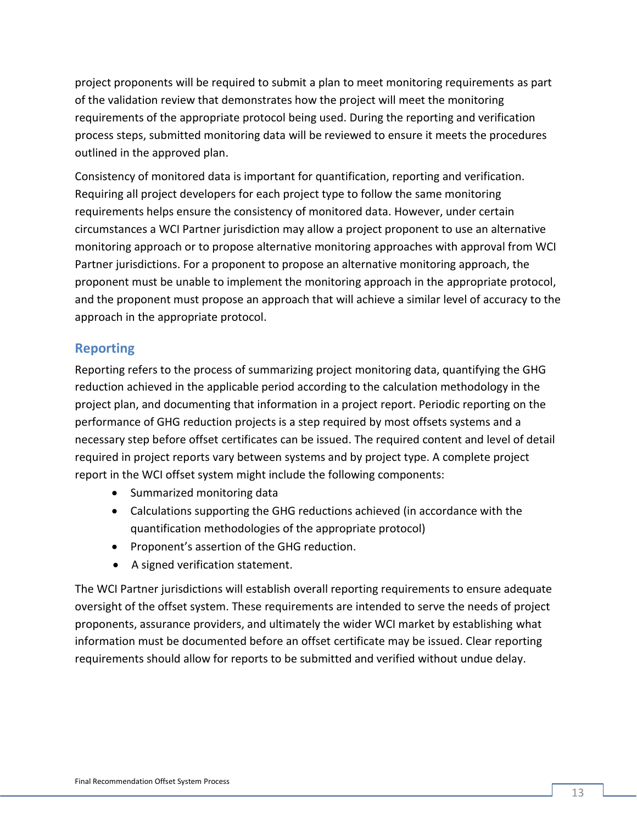project proponents will be required to submit a plan to meet monitoring requirements as part of the validation review that demonstrates how the project will meet the monitoring requirements of the appropriate protocol being used. During the reporting and verification process steps, submitted monitoring data will be reviewed to ensure it meets the procedures outlined in the approved plan.

Consistency of monitored data is important for quantification, reporting and verification. Requiring all project developers for each project type to follow the same monitoring requirements helps ensure the consistency of monitored data. However, under certain circumstances a WCI Partner jurisdiction may allow a project proponent to use an alternative monitoring approach or to propose alternative monitoring approaches with approval from WCI Partner jurisdictions. For a proponent to propose an alternative monitoring approach, the proponent must be unable to implement the monitoring approach in the appropriate protocol, and the proponent must propose an approach that will achieve a similar level of accuracy to the approach in the appropriate protocol.

#### **Reporting**

Reporting refers to the process of summarizing project monitoring data, quantifying the GHG reduction achieved in the applicable period according to the calculation methodology in the project plan, and documenting that information in a project report. Periodic reporting on the performance of GHG reduction projects is a step required by most offsets systems and a necessary step before offset certificates can be issued. The required content and level of detail required in project reports vary between systems and by project type. A complete project report in the WCI offset system might include the following components:

- Summarized monitoring data
- Calculations supporting the GHG reductions achieved (in accordance with the quantification methodologies of the appropriate protocol)
- Proponent's assertion of the GHG reduction.
- A signed verification statement.

The WCI Partner jurisdictions will establish overall reporting requirements to ensure adequate oversight of the offset system. These requirements are intended to serve the needs of project proponents, assurance providers, and ultimately the wider WCI market by establishing what information must be documented before an offset certificate may be issued. Clear reporting requirements should allow for reports to be submitted and verified without undue delay.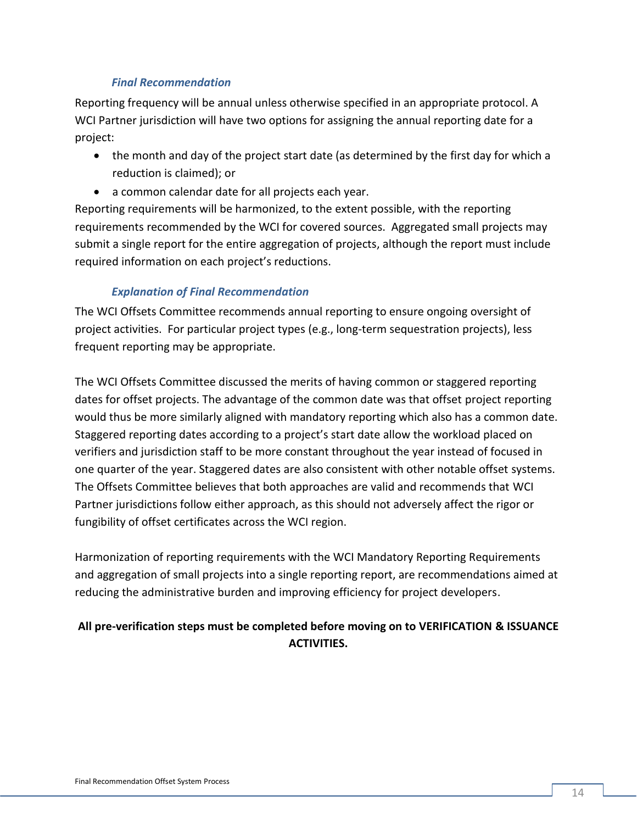#### *Final Recommendation*

Reporting frequency will be annual unless otherwise specified in an appropriate protocol. A WCI Partner jurisdiction will have two options for assigning the annual reporting date for a project:

- the month and day of the project start date (as determined by the first day for which a reduction is claimed); or
- a common calendar date for all projects each year.

Reporting requirements will be harmonized, to the extent possible, with the reporting requirements recommended by the WCI for covered sources. Aggregated small projects may submit a single report for the entire aggregation of projects, although the report must include required information on each project's reductions.

#### *Explanation of Final Recommendation*

The WCI Offsets Committee recommends annual reporting to ensure ongoing oversight of project activities. For particular project types (e.g., long-term sequestration projects), less frequent reporting may be appropriate.

The WCI Offsets Committee discussed the merits of having common or staggered reporting dates for offset projects. The advantage of the common date was that offset project reporting would thus be more similarly aligned with mandatory reporting which also has a common date. Staggered reporting dates according to a project's start date allow the workload placed on verifiers and jurisdiction staff to be more constant throughout the year instead of focused in one quarter of the year. Staggered dates are also consistent with other notable offset systems. The Offsets Committee believes that both approaches are valid and recommends that WCI Partner jurisdictions follow either approach, as this should not adversely affect the rigor or fungibility of offset certificates across the WCI region.

Harmonization of reporting requirements with the WCI Mandatory Reporting Requirements and aggregation of small projects into a single reporting report, are recommendations aimed at reducing the administrative burden and improving efficiency for project developers.

#### **All pre-verification steps must be completed before moving on to VERIFICATION & ISSUANCE ACTIVITIES.**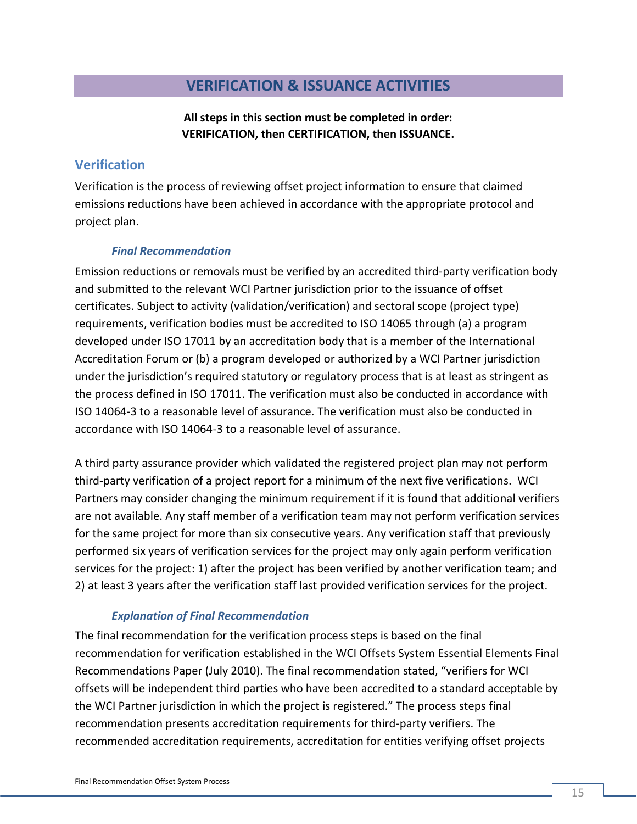### **VERIFICATION & ISSUANCE ACTIVITIES**

**All steps in this section must be completed in order: VERIFICATION, then CERTIFICATION, then ISSUANCE.**

#### **Verification**

Verification is the process of reviewing offset project information to ensure that claimed emissions reductions have been achieved in accordance with the appropriate protocol and project plan.

#### *Final Recommendation*

Emission reductions or removals must be verified by an accredited third-party verification body and submitted to the relevant WCI Partner jurisdiction prior to the issuance of offset certificates. Subject to activity (validation/verification) and sectoral scope (project type) requirements, verification bodies must be accredited to ISO 14065 through (a) a program developed under ISO 17011 by an accreditation body that is a member of the International Accreditation Forum or (b) a program developed or authorized by a WCI Partner jurisdiction under the jurisdiction's required statutory or regulatory process that is at least as stringent as the process defined in ISO 17011. The verification must also be conducted in accordance with ISO 14064-3 to a reasonable level of assurance. The verification must also be conducted in accordance with ISO 14064-3 to a reasonable level of assurance.

A third party assurance provider which validated the registered project plan may not perform third-party verification of a project report for a minimum of the next five verifications. WCI Partners may consider changing the minimum requirement if it is found that additional verifiers are not available. Any staff member of a verification team may not perform verification services for the same project for more than six consecutive years. Any verification staff that previously performed six years of verification services for the project may only again perform verification services for the project: 1) after the project has been verified by another verification team; and 2) at least 3 years after the verification staff last provided verification services for the project.

#### *Explanation of Final Recommendation*

The final recommendation for the verification process steps is based on the final recommendation for verification established in the WCI Offsets System Essential Elements Final Recommendations Paper (July 2010). The final recommendation stated, "verifiers for WCI offsets will be independent third parties who have been accredited to a standard acceptable by the WCI Partner jurisdiction in which the project is registered." The process steps final recommendation presents accreditation requirements for third-party verifiers. The recommended accreditation requirements, accreditation for entities verifying offset projects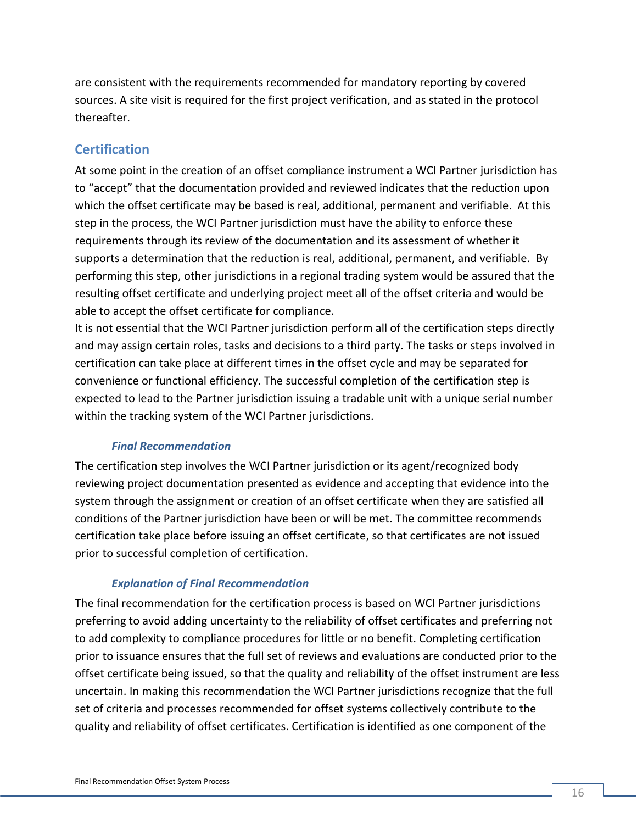are consistent with the requirements recommended for mandatory reporting by covered sources. A site visit is required for the first project verification, and as stated in the protocol thereafter.

### **Certification**

At some point in the creation of an offset compliance instrument a WCI Partner jurisdiction has to "accept" that the documentation provided and reviewed indicates that the reduction upon which the offset certificate may be based is real, additional, permanent and verifiable. At this step in the process, the WCI Partner jurisdiction must have the ability to enforce these requirements through its review of the documentation and its assessment of whether it supports a determination that the reduction is real, additional, permanent, and verifiable. By performing this step, other jurisdictions in a regional trading system would be assured that the resulting offset certificate and underlying project meet all of the offset criteria and would be able to accept the offset certificate for compliance.

It is not essential that the WCI Partner jurisdiction perform all of the certification steps directly and may assign certain roles, tasks and decisions to a third party. The tasks or steps involved in certification can take place at different times in the offset cycle and may be separated for convenience or functional efficiency. The successful completion of the certification step is expected to lead to the Partner jurisdiction issuing a tradable unit with a unique serial number within the tracking system of the WCI Partner jurisdictions.

#### *Final Recommendation*

The certification step involves the WCI Partner jurisdiction or its agent/recognized body reviewing project documentation presented as evidence and accepting that evidence into the system through the assignment or creation of an offset certificate when they are satisfied all conditions of the Partner jurisdiction have been or will be met. The committee recommends certification take place before issuing an offset certificate, so that certificates are not issued prior to successful completion of certification.

#### *Explanation of Final Recommendation*

The final recommendation for the certification process is based on WCI Partner jurisdictions preferring to avoid adding uncertainty to the reliability of offset certificates and preferring not to add complexity to compliance procedures for little or no benefit. Completing certification prior to issuance ensures that the full set of reviews and evaluations are conducted prior to the offset certificate being issued, so that the quality and reliability of the offset instrument are less uncertain. In making this recommendation the WCI Partner jurisdictions recognize that the full set of criteria and processes recommended for offset systems collectively contribute to the quality and reliability of offset certificates. Certification is identified as one component of the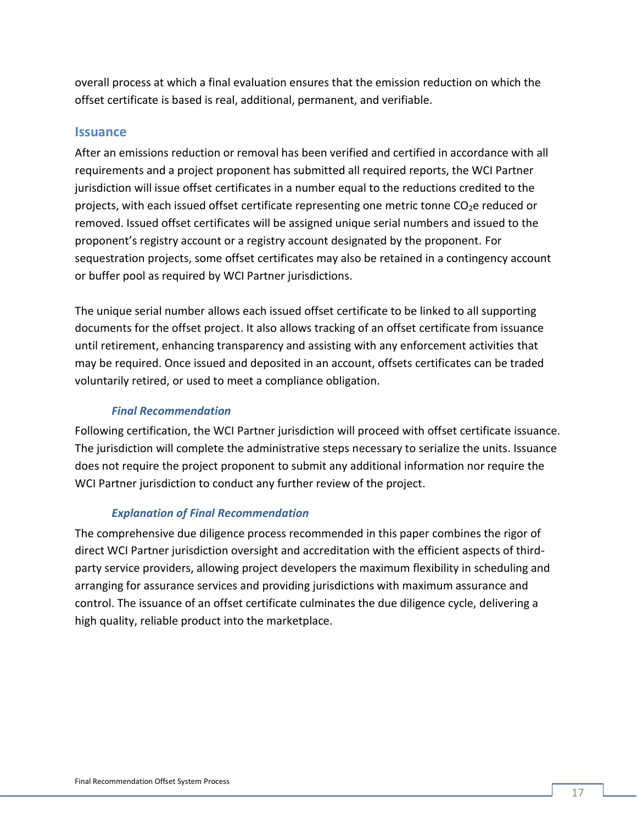overall process at which a final evaluation ensures that the emission reduction on which the offset certificate is based is real, additional, permanent, and verifiable.

#### **Issuance**

After an emissions reduction or removal has been verified and certified in accordance with all requirements and a project proponent has submitted all required reports, the WCI Partner jurisdiction will issue offset certificates in a number equal to the reductions credited to the projects, with each issued offset certificate representing one metric tonne  $CO<sub>2</sub>e$  reduced or removed. Issued offset certificates will be assigned unique serial numbers and issued to the proponent's registry account or a registry account designated by the proponent. For sequestration projects, some offset certificates may also be retained in a contingency account or buffer pool as required by WCI Partner jurisdictions.

The unique serial number allows each issued offset certificate to be linked to all supporting documents for the offset project. It also allows tracking of an offset certificate from issuance until retirement, enhancing transparency and assisting with any enforcement activities that may be required. Once issued and deposited in an account, offsets certificates can be traded voluntarily retired, or used to meet a compliance obligation.

#### *Final Recommendation*

Following certification, the WCI Partner jurisdiction will proceed with offset certificate issuance. The jurisdiction will complete the administrative steps necessary to serialize the units. Issuance does not require the project proponent to submit any additional information nor require the WCI Partner jurisdiction to conduct any further review of the project.

#### *Explanation of Final Recommendation*

The comprehensive due diligence process recommended in this paper combines the rigor of direct WCI Partner jurisdiction oversight and accreditation with the efficient aspects of thirdparty service providers, allowing project developers the maximum flexibility in scheduling and arranging for assurance services and providing jurisdictions with maximum assurance and control. The issuance of an offset certificate culminates the due diligence cycle, delivering a high quality, reliable product into the marketplace.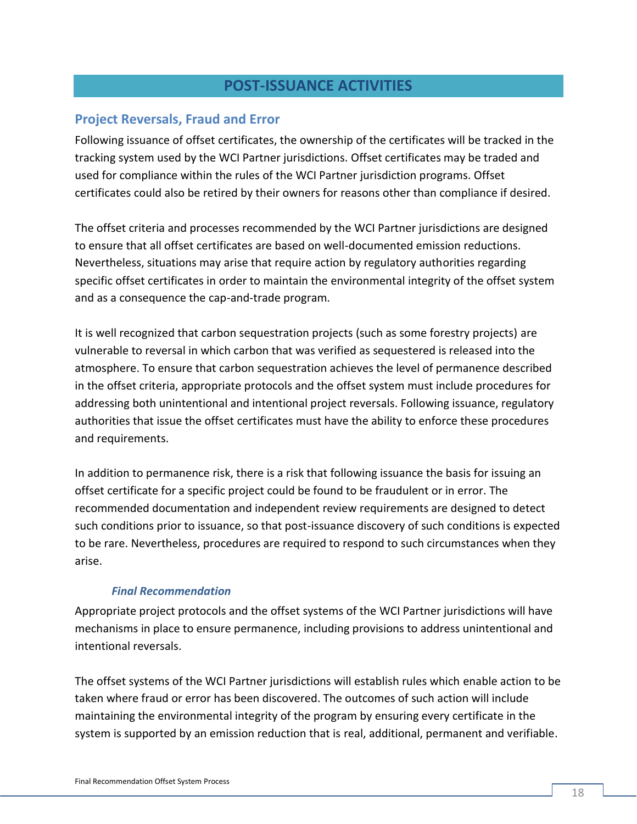### **POST-ISSUANCE ACTIVITIES**

#### **Project Reversals, Fraud and Error**

Following issuance of offset certificates, the ownership of the certificates will be tracked in the tracking system used by the WCI Partner jurisdictions. Offset certificates may be traded and used for compliance within the rules of the WCI Partner jurisdiction programs. Offset certificates could also be retired by their owners for reasons other than compliance if desired.

The offset criteria and processes recommended by the WCI Partner jurisdictions are designed to ensure that all offset certificates are based on well-documented emission reductions. Nevertheless, situations may arise that require action by regulatory authorities regarding specific offset certificates in order to maintain the environmental integrity of the offset system and as a consequence the cap-and-trade program.

It is well recognized that carbon sequestration projects (such as some forestry projects) are vulnerable to reversal in which carbon that was verified as sequestered is released into the atmosphere. To ensure that carbon sequestration achieves the level of permanence described in the offset criteria, appropriate protocols and the offset system must include procedures for addressing both unintentional and intentional project reversals. Following issuance, regulatory authorities that issue the offset certificates must have the ability to enforce these procedures and requirements.

In addition to permanence risk, there is a risk that following issuance the basis for issuing an offset certificate for a specific project could be found to be fraudulent or in error. The recommended documentation and independent review requirements are designed to detect such conditions prior to issuance, so that post-issuance discovery of such conditions is expected to be rare. Nevertheless, procedures are required to respond to such circumstances when they arise.

#### *Final Recommendation*

Appropriate project protocols and the offset systems of the WCI Partner jurisdictions will have mechanisms in place to ensure permanence, including provisions to address unintentional and intentional reversals.

The offset systems of the WCI Partner jurisdictions will establish rules which enable action to be taken where fraud or error has been discovered. The outcomes of such action will include maintaining the environmental integrity of the program by ensuring every certificate in the system is supported by an emission reduction that is real, additional, permanent and verifiable.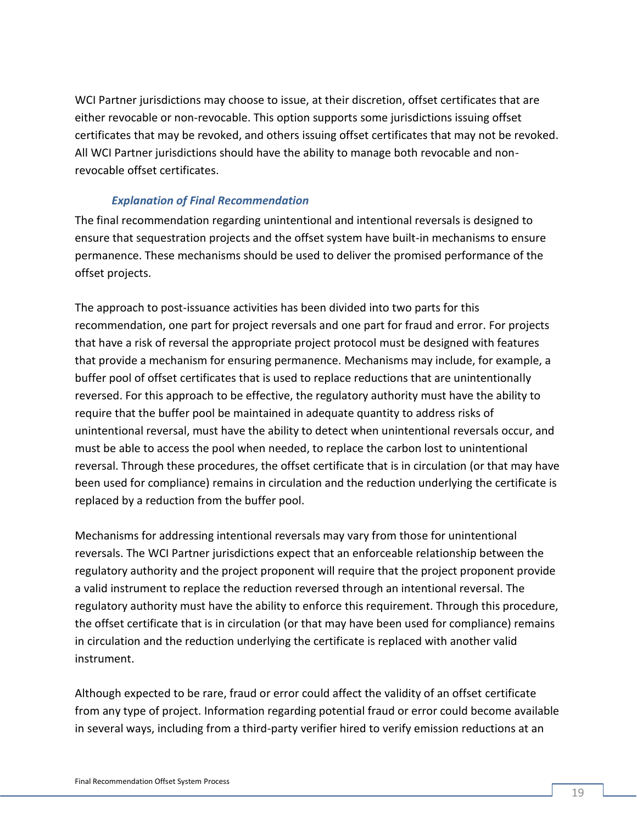WCI Partner jurisdictions may choose to issue, at their discretion, offset certificates that are either revocable or non-revocable. This option supports some jurisdictions issuing offset certificates that may be revoked, and others issuing offset certificates that may not be revoked. All WCI Partner jurisdictions should have the ability to manage both revocable and nonrevocable offset certificates.

#### *Explanation of Final Recommendation*

The final recommendation regarding unintentional and intentional reversals is designed to ensure that sequestration projects and the offset system have built-in mechanisms to ensure permanence. These mechanisms should be used to deliver the promised performance of the offset projects.

The approach to post-issuance activities has been divided into two parts for this recommendation, one part for project reversals and one part for fraud and error. For projects that have a risk of reversal the appropriate project protocol must be designed with features that provide a mechanism for ensuring permanence. Mechanisms may include, for example, a buffer pool of offset certificates that is used to replace reductions that are unintentionally reversed. For this approach to be effective, the regulatory authority must have the ability to require that the buffer pool be maintained in adequate quantity to address risks of unintentional reversal, must have the ability to detect when unintentional reversals occur, and must be able to access the pool when needed, to replace the carbon lost to unintentional reversal. Through these procedures, the offset certificate that is in circulation (or that may have been used for compliance) remains in circulation and the reduction underlying the certificate is replaced by a reduction from the buffer pool.

Mechanisms for addressing intentional reversals may vary from those for unintentional reversals. The WCI Partner jurisdictions expect that an enforceable relationship between the regulatory authority and the project proponent will require that the project proponent provide a valid instrument to replace the reduction reversed through an intentional reversal. The regulatory authority must have the ability to enforce this requirement. Through this procedure, the offset certificate that is in circulation (or that may have been used for compliance) remains in circulation and the reduction underlying the certificate is replaced with another valid instrument.

Although expected to be rare, fraud or error could affect the validity of an offset certificate from any type of project. Information regarding potential fraud or error could become available in several ways, including from a third-party verifier hired to verify emission reductions at an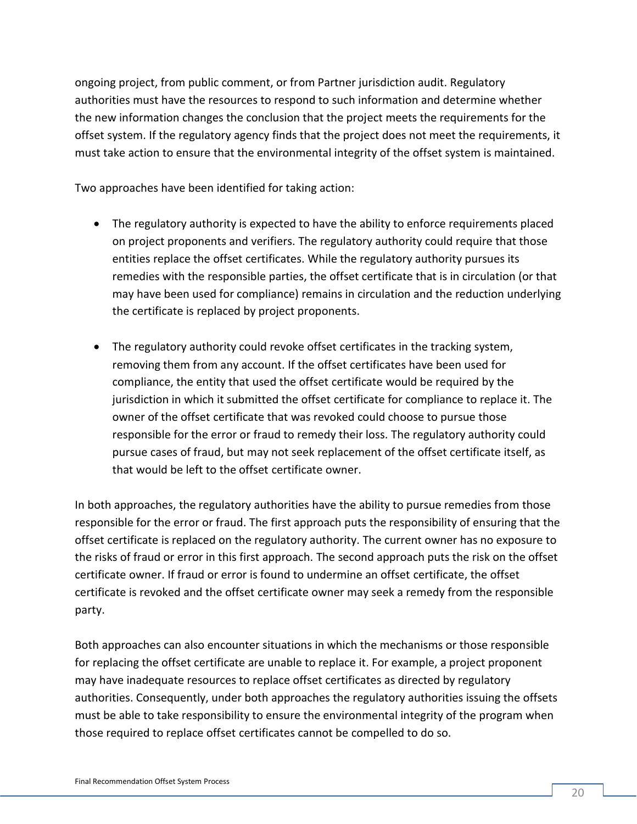ongoing project, from public comment, or from Partner jurisdiction audit. Regulatory authorities must have the resources to respond to such information and determine whether the new information changes the conclusion that the project meets the requirements for the offset system. If the regulatory agency finds that the project does not meet the requirements, it must take action to ensure that the environmental integrity of the offset system is maintained.

Two approaches have been identified for taking action:

- The regulatory authority is expected to have the ability to enforce requirements placed on project proponents and verifiers. The regulatory authority could require that those entities replace the offset certificates. While the regulatory authority pursues its remedies with the responsible parties, the offset certificate that is in circulation (or that may have been used for compliance) remains in circulation and the reduction underlying the certificate is replaced by project proponents.
- The regulatory authority could revoke offset certificates in the tracking system, removing them from any account. If the offset certificates have been used for compliance, the entity that used the offset certificate would be required by the jurisdiction in which it submitted the offset certificate for compliance to replace it. The owner of the offset certificate that was revoked could choose to pursue those responsible for the error or fraud to remedy their loss. The regulatory authority could pursue cases of fraud, but may not seek replacement of the offset certificate itself, as that would be left to the offset certificate owner.

In both approaches, the regulatory authorities have the ability to pursue remedies from those responsible for the error or fraud. The first approach puts the responsibility of ensuring that the offset certificate is replaced on the regulatory authority. The current owner has no exposure to the risks of fraud or error in this first approach. The second approach puts the risk on the offset certificate owner. If fraud or error is found to undermine an offset certificate, the offset certificate is revoked and the offset certificate owner may seek a remedy from the responsible party.

Both approaches can also encounter situations in which the mechanisms or those responsible for replacing the offset certificate are unable to replace it. For example, a project proponent may have inadequate resources to replace offset certificates as directed by regulatory authorities. Consequently, under both approaches the regulatory authorities issuing the offsets must be able to take responsibility to ensure the environmental integrity of the program when those required to replace offset certificates cannot be compelled to do so.